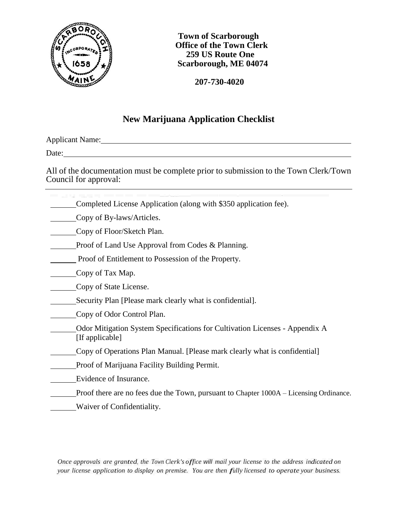

 **Town of Scarborough Office of the Town Clerk 259 US Route One Scarborough, ME 04074**

 **207-730-4020**

# **New Marijuana Application Checklist**

Applicant Name:

Date: the contract of the contract of the contract of the contract of the contract of the contract of the contract of the contract of the contract of the contract of the contract of the contract of the contract of the cont

All of the documentation must be complete prior to submission to the Town Clerk/Town Council for approval: 

Completed License Application (along with \$350 application fee).

Copy of By-laws/Articles.

Copy of Floor/Sketch Plan.

**Proof of Land Use Approval from Codes & Planning.** 

Proof of Entitlement to Possession of the Property.

Copy of Tax Map.

Copy of State License.

- Security Plan [Please mark clearly what is confidential].
- Copy of Odor Control Plan.
- Odor Mitigation System Specifications for Cultivation Licenses Appendix A [If applicable]
- Copy of Operations Plan Manual. [Please mark clearly what is confidential]
- **Proof of Marijuana Facility Building Permit.**
- Evidence of Insurance.
- Proof there are no fees due the Town, pursuant to Chapter 1000A Licensing Ordinance.
- **Waiver of Confidentiality.**

*Once approvals are granted, the Town Clerk's office will mail your license to the address indicated on your license application to display on premise. You are then fully licensed to operate your business.*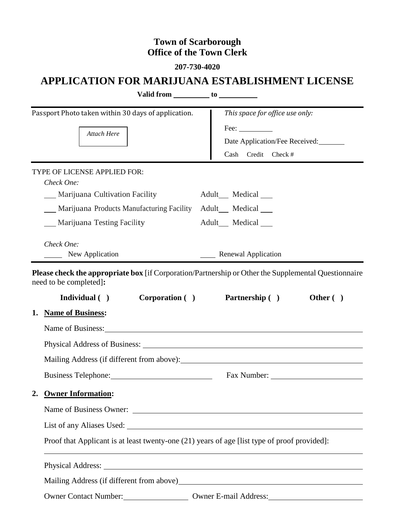# **Town of Scarborough Office of the Town Clerk**

**207-730-4020**

# **APPLICATION FOR MARIJUANA ESTABLISHMENT LICENSE**

|    | Valid from to to the same state of the state of the state of the state of the state of the state of the state of the state of the state of the state of the state of the state of the state of the state of the state of the s |  |                                      |  |  |
|----|--------------------------------------------------------------------------------------------------------------------------------------------------------------------------------------------------------------------------------|--|--------------------------------------|--|--|
|    | Passport Photo taken within 30 days of application.                                                                                                                                                                            |  | This space for office use only:      |  |  |
|    | Attach Here                                                                                                                                                                                                                    |  | $\text{Fee:}\_\_\_\_\_\_\_\_\$       |  |  |
|    |                                                                                                                                                                                                                                |  | Date Application/Fee Received:       |  |  |
|    |                                                                                                                                                                                                                                |  | Cash Credit Check #                  |  |  |
|    | <b>TYPE OF LICENSE APPLIED FOR:</b>                                                                                                                                                                                            |  |                                      |  |  |
|    | Check One:                                                                                                                                                                                                                     |  |                                      |  |  |
|    | Marijuana Cultivation Facility                                                                                                                                                                                                 |  | Adult <sub>___</sub> Medical ___     |  |  |
|    | _ Marijuana Products Manufacturing Facility                                                                                                                                                                                    |  | Adult_Medical                        |  |  |
|    | Marijuana Testing Facility                                                                                                                                                                                                     |  | Adult Medical                        |  |  |
|    | Check One:                                                                                                                                                                                                                     |  |                                      |  |  |
|    | New Application                                                                                                                                                                                                                |  | <b>Example 2</b> Renewal Application |  |  |
|    | Please check the appropriate box [if Corporation/Partnership or Other the Supplemental Questionnaire<br>need to be completed]:<br>Individual ( ) Corporation ( ) Partnership ( )                                               |  | Other $( )$                          |  |  |
|    | 1. Name of Business:                                                                                                                                                                                                           |  |                                      |  |  |
|    | Name of Business: Name of Business:                                                                                                                                                                                            |  |                                      |  |  |
|    |                                                                                                                                                                                                                                |  |                                      |  |  |
|    | Mailing Address (if different from above): Mailing Address (if different from above):                                                                                                                                          |  |                                      |  |  |
|    | Business Telephone: 2008. [2015]                                                                                                                                                                                               |  |                                      |  |  |
| 2. | <b>Owner Information:</b>                                                                                                                                                                                                      |  |                                      |  |  |
|    |                                                                                                                                                                                                                                |  |                                      |  |  |
|    |                                                                                                                                                                                                                                |  |                                      |  |  |
|    | Proof that Applicant is at least twenty-one (21) years of age [list type of proof provided]:                                                                                                                                   |  |                                      |  |  |
|    |                                                                                                                                                                                                                                |  |                                      |  |  |
|    |                                                                                                                                                                                                                                |  |                                      |  |  |
|    | Owner Contact Number: Owner E-mail Address: Owner E-mail Address:                                                                                                                                                              |  |                                      |  |  |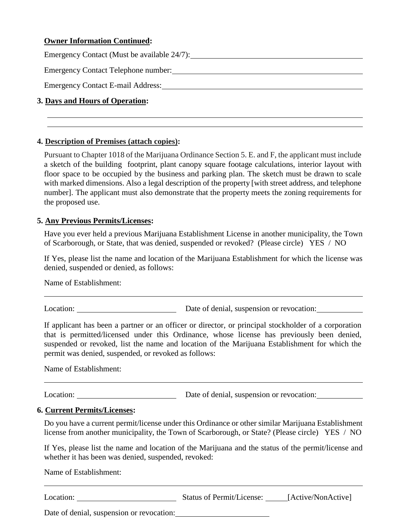#### **Owner Information Continued:**

Emergency Contact (Must be available 24/7):

Emergency Contact Telephone number:

Emergency Contact E-mail Address: Universe and Address and Address and Address and Address and Address and Address and Address and Address and Address and Address and Address and Address and Address and Address and Address

#### **3. Days and Hours of Operation:**

#### **4. Description of Premises (attach copies):**

Pursuant to Chapter 1018 of the Marijuana Ordinance Section 5. E. and F, the applicant must include a sketch of the building footprint, plant canopy square footage calculations, interior layout with floor space to be occupied by the business and parking plan. The sketch must be drawn to scale with marked dimensions. Also a legal description of the property [with street address, and telephone number]. The applicant must also demonstrate that the property meets the zoning requirements for the proposed use.

#### **5. Any Previous Permits/Licenses:**

Have you ever held a previous Marijuana Establishment License in another municipality, the Town of Scarborough, or State, that was denied, suspended or revoked? (Please circle) YES / NO

If Yes, please list the name and location of the Marijuana Establishment for which the license was denied, suspended or denied, as follows:

Name of Establishment:

Location: Date of denial, suspension or revocation:

If applicant has been a partner or an officer or director, or principal stockholder of a corporation that is permitted/licensed under this Ordinance, whose license has previously been denied, suspended or revoked, list the name and location of the Marijuana Establishment for which the permit was denied, suspended, or revoked as follows:

Name of Establishment:

Location: Date of denial, suspension or revocation:

#### **6. Current Permits/Licenses:**

Do you have a current permit/license under this Ordinance or other similar Marijuana Establishment license from another municipality, the Town of Scarborough, or State? (Please circle) YES / NO

If Yes, please list the name and location of the Marijuana and the status of the permit/license and whether it has been was denied, suspended, revoked:

Name of Establishment:

Location: Status of Permit/License: [Active/NonActive]

Date of denial, suspension or revocation: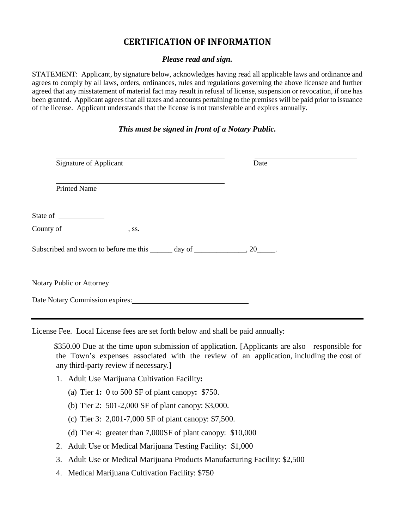## **CERTIFICATION OF INFORMATION**

#### *Please read and sign.*

STATEMENT: Applicant, by signature below, acknowledges having read all applicable laws and ordinance and agrees to comply by all laws, orders, ordinances, rules and regulations governing the above licensee and further agreed that any misstatement of material fact may result in refusal of license, suspension or revocation, if one has been granted. Applicant agrees that all taxes and accounts pertaining to the premises will be paid prior to issuance of the license. Applicant understands that the license is not transferable and expires annually.

#### *This must be signed in front of a Notary Public.*

| Signature of Applicant                                                          | Date |
|---------------------------------------------------------------------------------|------|
| <b>Printed Name</b>                                                             |      |
|                                                                                 |      |
|                                                                                 |      |
| Subscribed and sworn to before me this ______ day of _______________, 20______. |      |
| Notary Public or Attorney                                                       |      |
| Date Notary Commission expires:                                                 |      |

License Fee. Local License fees are set forth below and shall be paid annually:

\$350.00 Due at the time upon submission of application. [Applicants are also responsible for the Town's expenses associated with the review of an application, including the cost of any third-party review if necessary.]

- 1. Adult Use Marijuana Cultivation Facility**:**
	- (a) Tier 1**:** 0 to 500 SF of plant canopy**:** \$750.
	- (b) Tier 2: 501-2,000 SF of plant canopy: \$3,000.
	- (c) Tier 3: 2,001-7,000 SF of plant canopy: \$7,500.
	- (d) Tier 4: greater than 7,000SF of plant canopy: \$10,000
- 2. Adult Use or Medical Marijuana Testing Facility: \$1,000
- 3. Adult Use or Medical Marijuana Products Manufacturing Facility: \$2,500
- 4. Medical Marijuana Cultivation Facility: \$750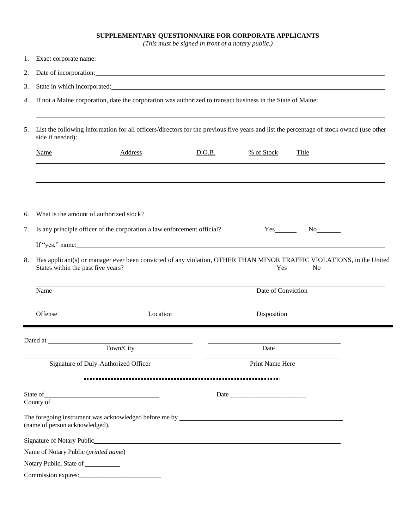#### **SUPPLEMENTARY QUESTIONNAIRE FOR CORPORATE APPLICANTS**

*(This must be signed in front of a notary public.)*

| 1.                                                                                                                                                                                                                                    |                                                                                                                                                                             |                                                                                                                                                                                                                               |        |                    |              |  |  |  |
|---------------------------------------------------------------------------------------------------------------------------------------------------------------------------------------------------------------------------------------|-----------------------------------------------------------------------------------------------------------------------------------------------------------------------------|-------------------------------------------------------------------------------------------------------------------------------------------------------------------------------------------------------------------------------|--------|--------------------|--------------|--|--|--|
| 2.                                                                                                                                                                                                                                    | Date of incorporation: <u>contained</u> and contained a series of incorporation:                                                                                            |                                                                                                                                                                                                                               |        |                    |              |  |  |  |
| 3.                                                                                                                                                                                                                                    |                                                                                                                                                                             |                                                                                                                                                                                                                               |        |                    |              |  |  |  |
| 4.                                                                                                                                                                                                                                    | If not a Maine corporation, date the corporation was authorized to transact business in the State of Maine:                                                                 |                                                                                                                                                                                                                               |        |                    |              |  |  |  |
| 5.                                                                                                                                                                                                                                    | List the following information for all officers/directors for the previous five years and list the percentage of stock owned (use other<br>side if needed):                 |                                                                                                                                                                                                                               |        |                    |              |  |  |  |
|                                                                                                                                                                                                                                       | <b>Name</b>                                                                                                                                                                 | <b>Address</b>                                                                                                                                                                                                                | D.O.B. | % of Stock         | <b>Title</b> |  |  |  |
| 6.                                                                                                                                                                                                                                    |                                                                                                                                                                             | What is the amount of authorized stock?                                                                                                                                                                                       |        |                    |              |  |  |  |
| 7.                                                                                                                                                                                                                                    |                                                                                                                                                                             | Is any principle officer of the corporation a law enforcement official?                                                                                                                                                       |        |                    |              |  |  |  |
|                                                                                                                                                                                                                                       |                                                                                                                                                                             | If "yes," name: Note also have a series of the series of the series of the series of the series of the series of the series of the series of the series of the series of the series of the series of the series of the series |        |                    |              |  |  |  |
| 8.                                                                                                                                                                                                                                    | Has applicant(s) or manager ever been convicted of any violation, OTHER THAN MINOR TRAFFIC VIOLATIONS, in the United<br>States within the past five years?<br>$Yes$ No $No$ |                                                                                                                                                                                                                               |        |                    |              |  |  |  |
|                                                                                                                                                                                                                                       | Name                                                                                                                                                                        |                                                                                                                                                                                                                               |        | Date of Conviction |              |  |  |  |
|                                                                                                                                                                                                                                       | Offense                                                                                                                                                                     | Location                                                                                                                                                                                                                      |        | Disposition        |              |  |  |  |
|                                                                                                                                                                                                                                       |                                                                                                                                                                             |                                                                                                                                                                                                                               |        |                    |              |  |  |  |
|                                                                                                                                                                                                                                       |                                                                                                                                                                             | Town/City                                                                                                                                                                                                                     |        | Date               |              |  |  |  |
|                                                                                                                                                                                                                                       |                                                                                                                                                                             | Signature of Duly-Authorized Officer                                                                                                                                                                                          |        | Print Name Here    |              |  |  |  |
|                                                                                                                                                                                                                                       |                                                                                                                                                                             |                                                                                                                                                                                                                               |        |                    |              |  |  |  |
|                                                                                                                                                                                                                                       |                                                                                                                                                                             | State of<br>County of                                                                                                                                                                                                         |        |                    |              |  |  |  |
|                                                                                                                                                                                                                                       | (name of person acknowledged).                                                                                                                                              |                                                                                                                                                                                                                               |        |                    |              |  |  |  |
|                                                                                                                                                                                                                                       |                                                                                                                                                                             |                                                                                                                                                                                                                               |        |                    |              |  |  |  |
| Name of Notary Public ( <i>printed name</i> ) example and the set of the set of the set of the set of the set of the set of the set of the set of the set of the set of the set of the set of the set of the set of the set of the se |                                                                                                                                                                             |                                                                                                                                                                                                                               |        |                    |              |  |  |  |
|                                                                                                                                                                                                                                       | Notary Public, State of _________                                                                                                                                           |                                                                                                                                                                                                                               |        |                    |              |  |  |  |
|                                                                                                                                                                                                                                       |                                                                                                                                                                             | Commission expires:                                                                                                                                                                                                           |        |                    |              |  |  |  |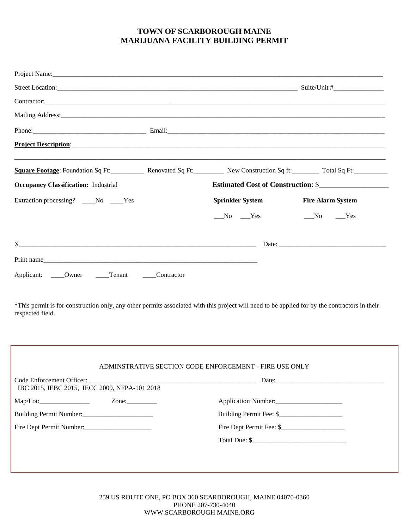### **TOWN OF SCARBOROUGH MAINE MARIJUANA FACILITY BUILDING PERMIT**

|                                                                                                                                                                                                                               | Square Footage: Foundation Sq Ft: Renovated Sq Ft: New Construction Sq ft: Total Sq Ft:                                                       |                                    |  |  |  |
|-------------------------------------------------------------------------------------------------------------------------------------------------------------------------------------------------------------------------------|-----------------------------------------------------------------------------------------------------------------------------------------------|------------------------------------|--|--|--|
| <b>Occupancy Classification: Industrial</b>                                                                                                                                                                                   |                                                                                                                                               | Estimated Cost of Construction: \$ |  |  |  |
| Extraction processing? ____No ____Yes                                                                                                                                                                                         | <b>Sprinkler System</b><br><b>Fire Alarm System</b>                                                                                           |                                    |  |  |  |
|                                                                                                                                                                                                                               | $N0$ $Yes$<br>$N0$ $Yes$                                                                                                                      |                                    |  |  |  |
| $X$ and $X$ and $X$ and $X$ and $X$ and $X$ and $X$ and $X$ and $X$ and $X$ and $X$ and $X$ and $X$ and $X$ and $X$ and $X$ and $X$ and $X$ and $X$ and $X$ and $X$ and $X$ and $X$ and $X$ and $X$ and $X$ and $X$ and $X$ a |                                                                                                                                               |                                    |  |  |  |
|                                                                                                                                                                                                                               |                                                                                                                                               |                                    |  |  |  |
|                                                                                                                                                                                                                               |                                                                                                                                               |                                    |  |  |  |
| Applicant: _____Owner ______Tenant ______Contractor                                                                                                                                                                           |                                                                                                                                               |                                    |  |  |  |
|                                                                                                                                                                                                                               | *This permit is for construction only, any other permits associated with this project will need to be applied for by the contractors in their |                                    |  |  |  |
|                                                                                                                                                                                                                               |                                                                                                                                               |                                    |  |  |  |
|                                                                                                                                                                                                                               | ADMINSTRATIVE SECTION CODE ENFORCEMENT - FIRE USE ONLY                                                                                        |                                    |  |  |  |
| IBC 2015, IEBC 2015, IECC 2009, NFPA-101 2018                                                                                                                                                                                 |                                                                                                                                               |                                    |  |  |  |
|                                                                                                                                                                                                                               | Application Number:                                                                                                                           |                                    |  |  |  |
|                                                                                                                                                                                                                               |                                                                                                                                               |                                    |  |  |  |
| respected field.<br>Fire Dept Permit Number:                                                                                                                                                                                  | Fire Dept Permit Fee: \$                                                                                                                      |                                    |  |  |  |

259 US ROUTE ONE, PO BOX 360 SCARBOROUGH, MAINE 04070-0360 PHONE 207-730-4040 WWW.SCARBOROUGH MAINE.ORG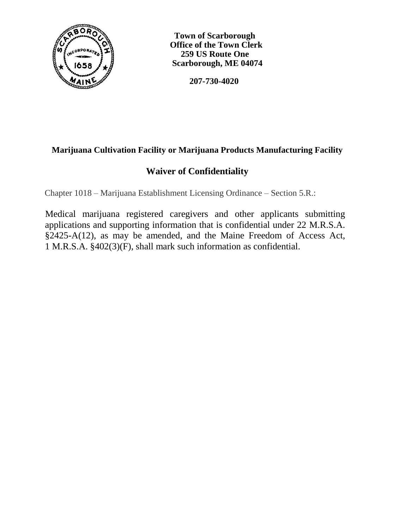

 **Town of Scarborough Office of the Town Clerk 259 US Route One Scarborough, ME 04074**

 **207-730-4020**

# **Marijuana Cultivation Facility or Marijuana Products Manufacturing Facility**

# **Waiver of Confidentiality**

Chapter 1018 – Marijuana Establishment Licensing Ordinance – Section 5.R.:

Medical marijuana registered caregivers and other applicants submitting applications and supporting information that is confidential under 22 M.R.S.A. §2425-A(12), as may be amended, and the Maine Freedom of Access Act, 1 M.R.S.A. §402(3)(F), shall mark such information as confidential.